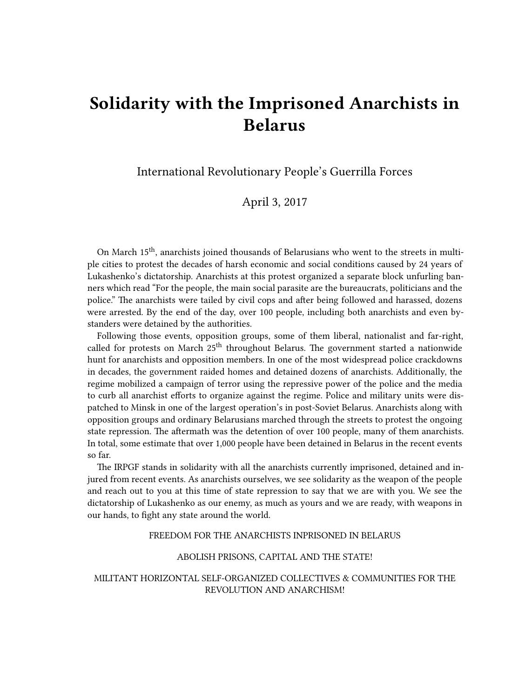## **Solidarity with the Imprisoned Anarchists in Belarus**

International Revolutionary People's Guerrilla Forces

April 3, 2017

On March 15<sup>th</sup>, anarchists joined thousands of Belarusians who went to the streets in multiple cities to protest the decades of harsh economic and social conditions caused by 24 years of Lukashenko's dictatorship. Anarchists at this protest organized a separate block unfurling banners which read "For the people, the main social parasite are the bureaucrats, politicians and the police." The anarchists were tailed by civil cops and after being followed and harassed, dozens were arrested. By the end of the day, over 100 people, including both anarchists and even bystanders were detained by the authorities.

Following those events, opposition groups, some of them liberal, nationalist and far-right, called for protests on March 25<sup>th</sup> throughout Belarus. The government started a nationwide hunt for anarchists and opposition members. In one of the most widespread police crackdowns in decades, the government raided homes and detained dozens of anarchists. Additionally, the regime mobilized a campaign of terror using the repressive power of the police and the media to curb all anarchist efforts to organize against the regime. Police and military units were dispatched to Minsk in one of the largest operation's in post-Soviet Belarus. Anarchists along with opposition groups and ordinary Belarusians marched through the streets to protest the ongoing state repression. The aftermath was the detention of over 100 people, many of them anarchists. In total, some estimate that over 1,000 people have been detained in Belarus in the recent events so far.

The IRPGF stands in solidarity with all the anarchists currently imprisoned, detained and injured from recent events. As anarchists ourselves, we see solidarity as the weapon of the people and reach out to you at this time of state repression to say that we are with you. We see the dictatorship of Lukashenko as our enemy, as much as yours and we are ready, with weapons in our hands, to fight any state around the world.

## FREEDOM FOR THE ANARCHISTS INPRISONED IN BELARUS

## ABOLISH PRISONS, CAPITAL AND THE STATE!

## MILITANT HORIZONTAL SELF-ORGANIZED COLLECTIVES & COMMUNITIES FOR THE REVOLUTION AND ANARCHISM!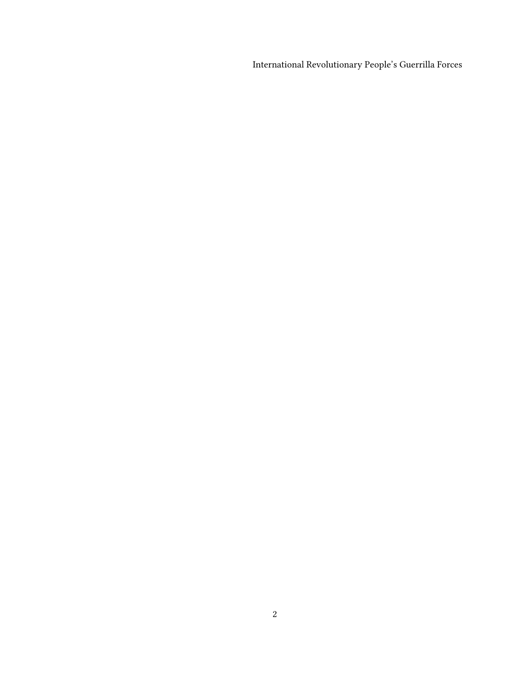International Revolutionary People's Guerrilla Forces